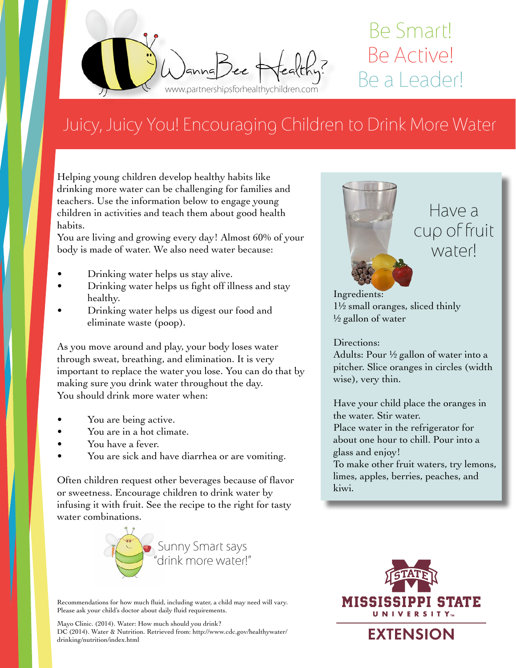

## Be Smart! Be Active! Be a Leader!

## Juicy, Juicy You! Encouraging Children to Drink More Water

Helping young children develop healthy habits like drinking more water can be challenging for families and teachers. Use the information below to engage young children in activities and teach them about good health habits.

You are living and growing every day! Almost 60% of your body is made of water. We also need water because:

- Drinking water helps us stay alive.
- Drinking water helps us fight off illness and stay healthy.
- Drinking water helps us digest our food and eliminate waste (poop).

As you move around and play, your body loses water through sweat, breathing, and elimination. It is very important to replace the water you lose. You can do that by making sure you drink water throughout the day. You should drink more water when:

- You are being active.
- You are in a hot climate.
- You have a fever.
- You are sick and have diarrhea or are vomiting.

Often children request other beverages because of flavor or sweetness. Encourage children to drink water by infusing it with fruit. See the recipe to the right for tasty water combinations.



Recommendations for how much fluid, including water, a child may need will vary. Please ask your child's doctor about daily fluid requirements.

Mayo Clinic. (2014). Water: How much should you drink? DC (2014). Water & Nutrition. Retrieved from: http://www.cdc.gov/healthywater/ drinking/nutrition/index.html



Have a cup of fruit waterl

Ingredients: 1½ small oranges, sliced thinly  $\frac{1}{2}$  gallon of water

Directions:

Adults: Pour ½ gallon of water into a pitcher. Slice oranges in circles (width wise), very thin.

Have your child place the oranges in the water. Stir water. Place water in the refrigerator for about one hour to chill. Pour into a glass and enjoy!

To make other fruit waters, try lemons, limes, apples, berries, peaches, and kiwi.